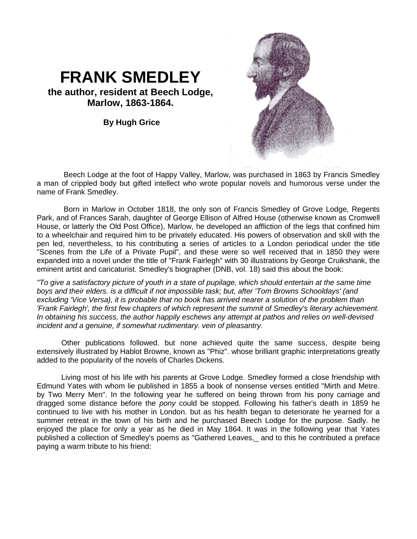## **FRANK SMEDLEY**

**the author, resident at Beech Lodge, Marlow, 1863-1864.**

**By Hugh Grice**



Beech Lodge at the foot of Happy Valley, Marlow, was purchased in 1863 by Francis Smedley a man of crippled body but gifted intellect who wrote popular novels and humorous verse under the name of Frank Smedley.

Born in Marlow in October 1818, the only son of Francis Smedley of Grove Lodge, Regents Park, and of Frances Sarah, daughter of George Ellison of Alfred House (otherwise known as Cromwell House, or latterly the Old Post Office), Marlow, he developed an affliction of the legs that confined him to a wheelchair and required him to be privately educated. His powers of observation and skill with the pen led, nevertheless, to his contributing a series of articles to a London periodical under the title "Scenes from the Life of a Private Pupil", and these were so well received that in 1850 they were expanded into a novel under the title of "Frank Fairlegh" with 30 illustrations by George Cruikshank, the eminent artist and caricaturist. Smedley's biographer (DNB, vol. 18) said this about the book:

*"To give a satisfactory picture of youth in a state of pupilage, which should entertain at the same time boys and their [elders. is](http://elders.is/) a difficult if not impossible task; but, after 'Tom Browns Schooldays' (and excluding 'Vice Versa), it is probable that no book has arrived nearer a solution of the problem than 'Frank Fairlegh', the first few chapters of which represent the summit of Smedley's literary achievement. In obtaining his success, the author happily eschews any attempt at pathos and relies on well-devised incident and a genuine, if somewhat rudimentary. vein of pleasantry.*

Other publications followed. but none achieved quite the same success, despite being extensively illustrated by Hablot Browne, known as "Phiz". whose brilliant graphic interpretations greatly added to the popularity of the novels of Charles Dickens.

Living most of his life with his parents at Grove Lodge. Smedley formed a close friendship with Edmund Yates with whom lie published in 1855 a book of nonsense verses entitled "Mirth and Metre. by Two Merry Men". In the following year he suffered on being thrown from his pony carriage and dragged some distance before the *pony* could be stopped. Following his father's death in 1859 he continued to live with his mother in London. but as his health began to deteriorate he yearned for a summer retreat in the town of his birth and he purchased Beech Lodge for the purpose. Sadly. he enjoyed the place for only a year as he died in May 1864. It was in the following year that Yates published a collection of Smedley's poems as "Gathered Leaves,\_ and to this he contributed a preface paying a warm tribute to his friend: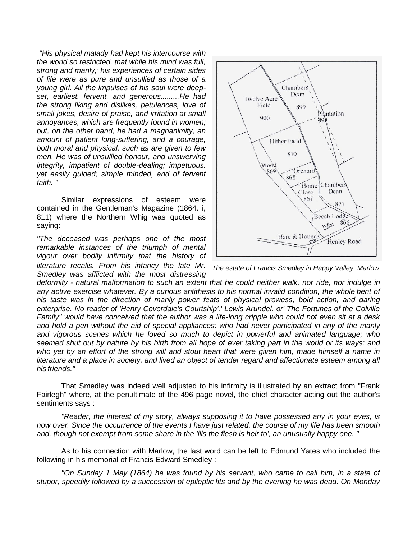*"His physical malady had kept his intercourse with the world so restricted, that while his mind was full, strong and manly,, his experiences of certain sides of life were as pure and unsullied as those of a young girl. All the impulses of his soul were deepset, earliest. fervent, and generous.........He had the strong liking and dislikes, petulances, love of small jokes, desire of praise, and irritation at small annoyances, which are frequently found in women; but, on the other hand, he had a magnanimity, an amount of patient long-suffering, and a courage, both moral and physical, such as are given to few men. He was of unsullied honour, and unswerving integrity, impatient of double-dealing; impetuous. yet easily guided; simple minded, and of fervent faith. "*

Similar expressions of esteem were contained in the Gentleman's Magazine (1864. i, 811) where the Northern Whig was quoted as saying:

*"The deceased was perhaps one of the most remarkable instances of the triumph of mental vigour over bodily infirmity that the history of literature recalls. From his infancy the late Mr. Smedley was afflicted with the most distressing* 



*The estate of Francis Smedley in Happy Valley, Marlow*

*deformity - natural malformation to such an extent that he could neither walk, nor ride, nor indulge in any active exercise whatever. By a curious antithesis to his normal invalid condition, the whole bent of his taste was in the direction of manly power, feats of physical prowess, bold action, and daring enterprise. No reader of 'Henry Coverdale's Courtship'.' Lewis Arundel. or' The Fortunes of the Colville Family'' would have conceived that the author was a life-long cripple who could not even sit at a desk and hold a pen without the aid of special appliances: who had never participated in any of the manly and vigorous scenes which he loved so much to depict in powerful and animated language; who seemed shut out by nature by his birth from all hope of ever taking part in the world or its ways: and who yet by an effort of the strong will and stout heart that were given him, made himself a name in literature and a place in society, and lived an object of tender regard and affectionate esteem among all his friends."*

That Smedley was indeed well adjusted to his infirmity is illustrated by an extract from "Frank Fairlegh" where, at the penultimate of the 496 page novel, the chief character acting out the author's sentiments says :

*"Reader, the interest of my story, always supposing it to have possessed any in your eyes, is now over. Since the occurrence of the events I have just related, the course of my life has been smooth and, though not exempt from some share in the 'ills the flesh is heir to', an unusually happy one. "*

As to his connection with Marlow, the last word can be left to Edmund Yates who included the following in his memorial of Francis Edward Smedley :

*"On Sunday 1 May (1864) he was found by his servant, who came to call him, in a state of stupor, speedily followed by a succession of epileptic fits and by the evening he was dead. On Monday*